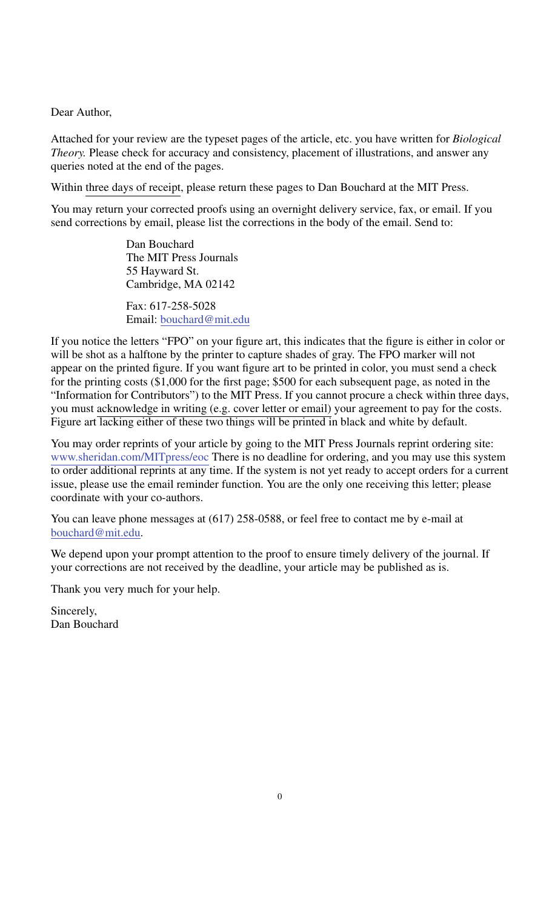Dear Author,

Attached for your review are the typeset pages of the article, etc. you have written for *Biological Theory.* Please check for accuracy and consistency, placement of illustrations, and answer any queries noted at the end of the pages.

Within three days of receipt, please return these pages to Dan Bouchard at the MIT Press.

You may return your corrected proofs using an overnight delivery service, fax, or email. If you send corrections by email, please list the corrections in the body of the email. Send to:

> Dan Bouchard The MIT Press Journals 55 Hayward St. Cambridge, MA 02142

Fax: 617-258-5028 Email: [bouchard@mit.edu](mailto:bouchard@mit.edu)

If you notice the letters "FPO" on your figure art, this indicates that the figure is either in color or will be shot as a halftone by the printer to capture shades of gray. The FPO marker will not appear on the printed figure. If you want figure art to be printed in color, you must send a check for the printing costs (\$1,000 for the first page; \$500 for each subsequent page, as noted in the "Information for Contributors") to the MIT Press. If you cannot procure a check within three days, you must acknowledge in writing (e.g. cover letter or email) your agreement to pay for the costs. Figure art lacking either of these two things will be printed in black and white by default.

You may order reprints of your article by going to the MIT Press Journals reprint ordering site: [www.sheridan.com/MITpress/eoc](http://www.sheridan.com/MITpress/eoc) There is no deadline for ordering, and you may use this system to order additional reprints at any time. If the system is not yet ready to accept orders for a current issue, please use the email reminder function. You are the only one receiving this letter; please coordinate with your co-authors.

You can leave phone messages at (617) 258-0588, or feel free to contact me by e-mail at [bouchard@mit.edu.](mailto:bouchard@mit.edu)

We depend upon your prompt attention to the proof to ensure timely delivery of the journal. If your corrections are not received by the deadline, your article may be published as is.

Thank you very much for your help.

Sincerely, Dan Bouchard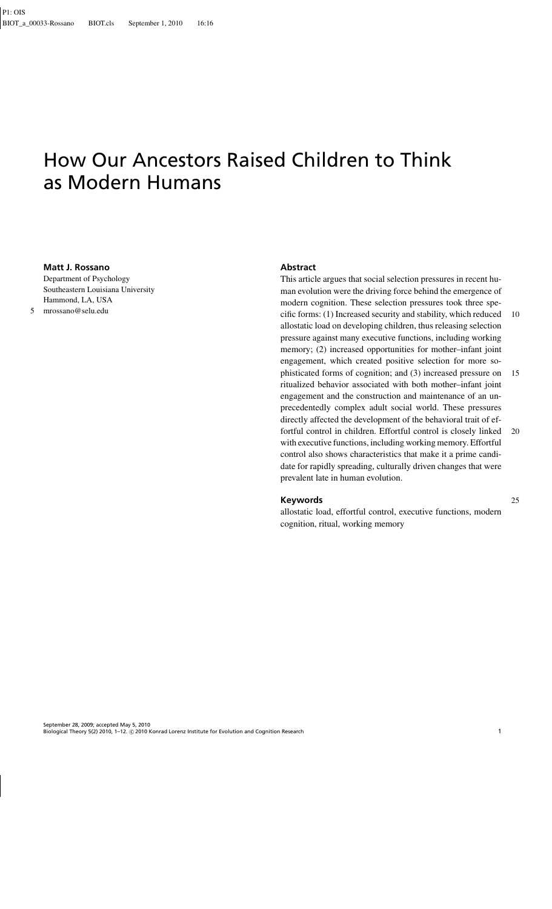**Matt J. Rossano**

Department of Psychology Southeastern Louisiana University Hammond, LA, USA 5 mrossano@selu.edu

# **Abstract**

This article argues that social selection pressures in recent human evolution were the driving force behind the emergence of modern cognition. These selection pressures took three specific forms: (1) Increased security and stability, which reduced 10 allostatic load on developing children, thus releasing selection pressure against many executive functions, including working memory; (2) increased opportunities for mother–infant joint engagement, which created positive selection for more sophisticated forms of cognition; and (3) increased pressure on 15 ritualized behavior associated with both mother–infant joint engagement and the construction and maintenance of an unprecedentedly complex adult social world. These pressures directly affected the development of the behavioral trait of effortful control in children. Effortful control is closely linked 20 with executive functions, including working memory. Effortful control also shows characteristics that make it a prime candidate for rapidly spreading, culturally driven changes that were prevalent late in human evolution.

## **Keywords** 25

allostatic load, effortful control, executive functions, modern cognition, ritual, working memory

September 28, 2009; accepted May 5, 2010 Biological Theory 5(2) 2010, 1–12. © 2010 Konrad Lorenz Institute for Evolution and Cognition Research 1997 - 2010 1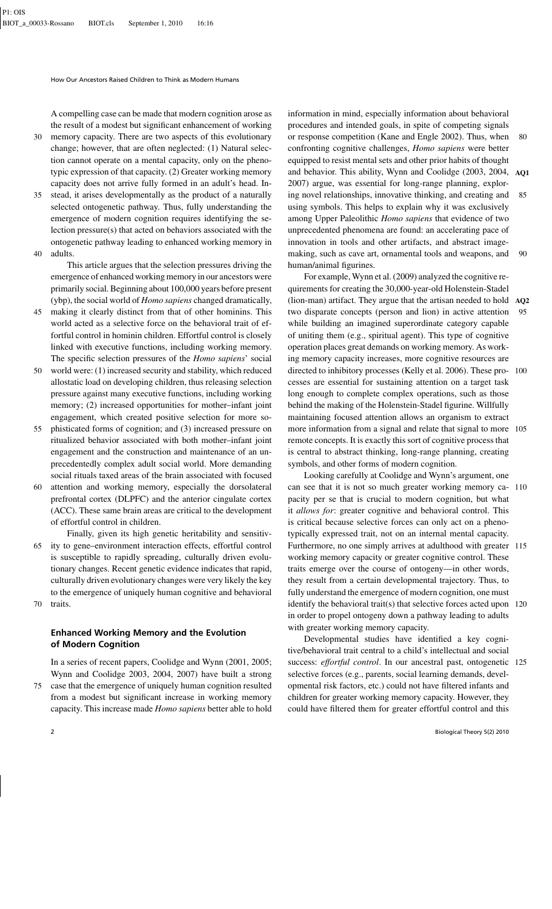A compelling case can be made that modern cognition arose as the result of a modest but significant enhancement of working

- 30 memory capacity. There are two aspects of this evolutionary change; however, that are often neglected: (1) Natural selection cannot operate on a mental capacity, only on the phenotypic expression of that capacity. (2) Greater working memory capacity does not arrive fully formed in an adult's head. In-
- 35 stead, it arises developmentally as the product of a naturally selected ontogenetic pathway. Thus, fully understanding the emergence of modern cognition requires identifying the selection pressure(s) that acted on behaviors associated with the ontogenetic pathway leading to enhanced working memory in 40 adults.

This article argues that the selection pressures driving the emergence of enhanced working memory in our ancestors were primarily social. Beginning about 100,000 years before present (ybp), the social world of *Homo sapiens* changed dramatically,

- 45 making it clearly distinct from that of other hominins. This world acted as a selective force on the behavioral trait of effortful control in hominin children. Effortful control is closely linked with executive functions, including working memory. The specific selection pressures of the *Homo sapiens*' social
- 50 world were: (1) increased security and stability, which reduced allostatic load on developing children, thus releasing selection pressure against many executive functions, including working memory; (2) increased opportunities for mother–infant joint engagement, which created positive selection for more so-
- 55 phisticated forms of cognition; and (3) increased pressure on ritualized behavior associated with both mother–infant joint engagement and the construction and maintenance of an unprecedentedly complex adult social world. More demanding social rituals taxed areas of the brain associated with focused
- 60 attention and working memory, especially the dorsolateral prefrontal cortex (DLPFC) and the anterior cingulate cortex (ACC). These same brain areas are critical to the development of effortful control in children.
- Finally, given its high genetic heritability and sensitiv-65 ity to gene–environment interaction effects, effortful control is susceptible to rapidly spreading, culturally driven evolutionary changes. Recent genetic evidence indicates that rapid, culturally driven evolutionary changes were very likely the key to the emergence of uniquely human cognitive and behavioral 70 traits.
	- **Enhanced Working Memory and the Evolution of Modern Cognition**

In a series of recent papers, Coolidge and Wynn (2001, 2005; Wynn and Coolidge 2003, 2004, 2007) have built a strong 75 case that the emergence of uniquely human cognition resulted from a modest but significant increase in working memory capacity. This increase made *Homo sapiens* better able to hold information in mind, especially information about behavioral procedures and intended goals, in spite of competing signals or response competition (Kane and Engle 2002). Thus, when 80 confronting cognitive challenges, *Homo sapiens* were better equipped to resist mental sets and other prior habits of thought and behavior. This ability, Wynn and Coolidge (2003, 2004, **AQ1** 2007) argue, was essential for long-range planning, exploring novel relationships, innovative thinking, and creating and 85 using symbols. This helps to explain why it was exclusively among Upper Paleolithic *Homo sapiens* that evidence of two unprecedented phenomena are found: an accelerating pace of innovation in tools and other artifacts, and abstract imagemaking, such as cave art, ornamental tools and weapons, and 90 human/animal figurines.

For example, Wynn et al. (2009) analyzed the cognitive requirements for creating the 30,000-year-old Holenstein-Stadel (lion-man) artifact. They argue that the artisan needed to hold **AQ2** two disparate concepts (person and lion) in active attention while building an imagined superordinate category capable of uniting them (e.g., spiritual agent). This type of cognitive operation places great demands on working memory. As working memory capacity increases, more cognitive resources are directed to inhibitory processes (Kelly et al. 2006). These pro- 100 cesses are essential for sustaining attention on a target task long enough to complete complex operations, such as those behind the making of the Holenstein-Stadel figurine. Willfully maintaining focused attention allows an organism to extract more information from a signal and relate that signal to more 105 remote concepts. It is exactly this sort of cognitive process that is central to abstract thinking, long-range planning, creating symbols, and other forms of modern cognition.

Looking carefully at Coolidge and Wynn's argument, one can see that it is not so much greater working memory ca- 110 pacity per se that is crucial to modern cognition, but what it *allows for*: greater cognitive and behavioral control. This is critical because selective forces can only act on a phenotypically expressed trait, not on an internal mental capacity. Furthermore, no one simply arrives at adulthood with greater 115 working memory capacity or greater cognitive control. These traits emerge over the course of ontogeny—in other words, they result from a certain developmental trajectory. Thus, to fully understand the emergence of modern cognition, one must identify the behavioral trait(s) that selective forces acted upon 120 in order to propel ontogeny down a pathway leading to adults with greater working memory capacity.

Developmental studies have identified a key cognitive/behavioral trait central to a child's intellectual and social success: *effortful control*. In our ancestral past, ontogenetic 125 selective forces (e.g., parents, social learning demands, developmental risk factors, etc.) could not have filtered infants and children for greater working memory capacity. However, they could have filtered them for greater effortful control and this

2 Biological Theory 5(2) 2010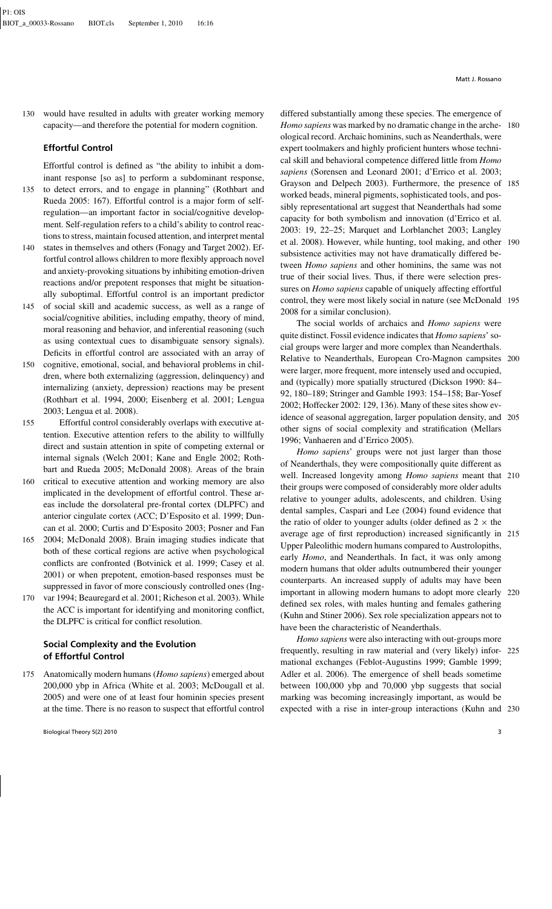130 would have resulted in adults with greater working memory capacity—and therefore the potential for modern cognition.

## **Effortful Control**

Effortful control is defined as "the ability to inhibit a dominant response [so as] to perform a subdominant response, 135 to detect errors, and to engage in planning" (Rothbart and

- Rueda 2005: 167). Effortful control is a major form of selfregulation—an important factor in social/cognitive development. Self-regulation refers to a child's ability to control reactions to stress, maintain focused attention, and interpret mental
- 140 states in themselves and others (Fonagy and Target 2002). Effortful control allows children to more flexibly approach novel and anxiety-provoking situations by inhibiting emotion-driven reactions and/or prepotent responses that might be situationally suboptimal. Effortful control is an important predictor
- of social skill and academic success, as well as a range of social/cognitive abilities, including empathy, theory of mind, moral reasoning and behavior, and inferential reasoning (such as using contextual cues to disambiguate sensory signals). Deficits in effortful control are associated with an array of
- 150 cognitive, emotional, social, and behavioral problems in children, where both externalizing (aggression, delinquency) and internalizing (anxiety, depression) reactions may be present (Rothbart et al. 1994, 2000; Eisenberg et al. 2001; Lengua 2003; Lengua et al. 2008).
- 155 Effortful control considerably overlaps with executive attention. Executive attention refers to the ability to willfully direct and sustain attention in spite of competing external or internal signals (Welch 2001; Kane and Engle 2002; Rothbart and Rueda 2005; McDonald 2008). Areas of the brain
- 160 critical to executive attention and working memory are also implicated in the development of effortful control. These areas include the dorsolateral pre-frontal cortex (DLPFC) and anterior cingulate cortex (ACC; D'Esposito et al. 1999; Duncan et al. 2000; Curtis and D'Esposito 2003; Posner and Fan
- 165 2004; McDonald 2008). Brain imaging studies indicate that both of these cortical regions are active when psychological conflicts are confronted (Botvinick et al. 1999; Casey et al. 2001) or when prepotent, emotion-based responses must be suppressed in favor of more consciously controlled ones (Ing-
- 170 var 1994; Beauregard et al. 2001; Richeson et al. 2003). While the ACC is important for identifying and monitoring conflict, the DLPFC is critical for conflict resolution.

# **Social Complexity and the Evolution of Effortful Control**

175 Anatomically modern humans (*Homo sapiens*) emerged about 200,000 ybp in Africa (White et al. 2003; McDougall et al. 2005) and were one of at least four hominin species present at the time. There is no reason to suspect that effortful control

Biological Theory 5(2) 2010 3

differed substantially among these species. The emergence of *Homo sapiens* was marked by no dramatic change in the arche- 180 ological record. Archaic hominins, such as Neanderthals, were expert toolmakers and highly proficient hunters whose technical skill and behavioral competence differed little from *Homo sapiens* (Sorensen and Leonard 2001; d'Errico et al. 2003; Grayson and Delpech 2003). Furthermore, the presence of 185 worked beads, mineral pigments, sophisticated tools, and possibly representational art suggest that Neanderthals had some capacity for both symbolism and innovation (d'Errico et al. 2003: 19, 22–25; Marquet and Lorblanchet 2003; Langley et al. 2008). However, while hunting, tool making, and other 190 subsistence activities may not have dramatically differed between *Homo sapiens* and other hominins, the same was not true of their social lives. Thus, if there were selection pressures on *Homo sapiens* capable of uniquely affecting effortful control, they were most likely social in nature (see McDonald 195 2008 for a similar conclusion).

The social worlds of archaics and *Homo sapiens* were quite distinct. Fossil evidence indicates that *Homo sapiens*' social groups were larger and more complex than Neanderthals. Relative to Neanderthals, European Cro-Magnon campsites 200 were larger, more frequent, more intensely used and occupied, and (typically) more spatially structured (Dickson 1990: 84– 92, 180–189; Stringer and Gamble 1993: 154–158; Bar-Yosef 2002; Hoffecker 2002: 129, 136). Many of these sites show evidence of seasonal aggregation, larger population density, and 205 other signs of social complexity and stratification (Mellars 1996; Vanhaeren and d'Errico 2005).

*Homo sapiens*' groups were not just larger than those of Neanderthals, they were compositionally quite different as well. Increased longevity among *Homo sapiens* meant that 210 their groups were composed of considerably more older adults relative to younger adults, adolescents, and children. Using dental samples, Caspari and Lee (2004) found evidence that the ratio of older to younger adults (older defined as  $2 \times$  the average age of first reproduction) increased significantly in 215 Upper Paleolithic modern humans compared to Austrolopiths, early *Homo*, and Neanderthals. In fact, it was only among modern humans that older adults outnumbered their younger counterparts. An increased supply of adults may have been important in allowing modern humans to adopt more clearly 220 defined sex roles, with males hunting and females gathering (Kuhn and Stiner 2006). Sex role specialization appears not to have been the characteristic of Neanderthals.

*Homo sapiens* were also interacting with out-groups more frequently, resulting in raw material and (very likely) infor- 225 mational exchanges (Feblot-Augustins 1999; Gamble 1999; Adler et al. 2006). The emergence of shell beads sometime between 100,000 ybp and 70,000 ybp suggests that social marking was becoming increasingly important, as would be expected with a rise in inter-group interactions (Kuhn and 230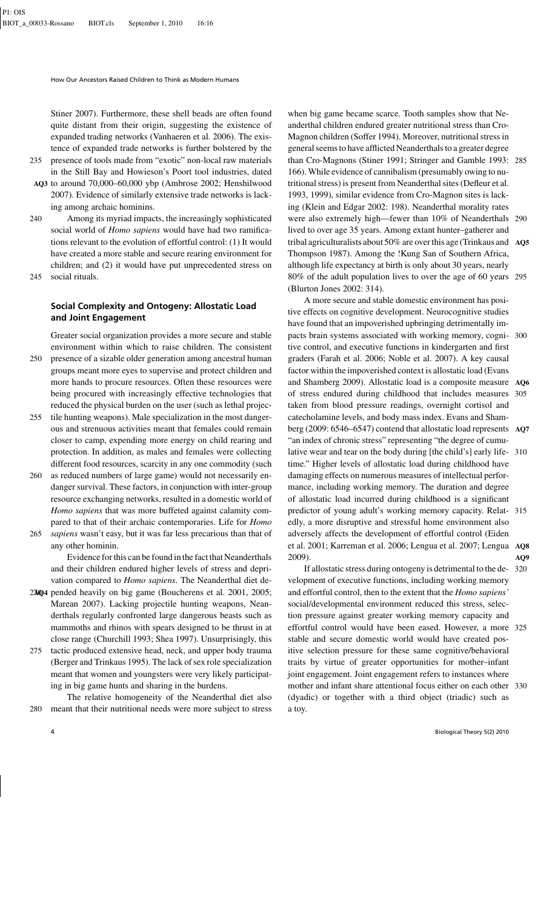Stiner 2007). Furthermore, these shell beads are often found quite distant from their origin, suggesting the existence of expanded trading networks (Vanhaeren et al. 2006). The existence of expanded trade networks is further bolstered by the

- 235 presence of tools made from "exotic" non-local raw materials in the Still Bay and Howieson's Poort tool industries, dated
- **AQ3** to around 70,000–60,000 ybp (Ambrose 2002; Henshilwood 2007). Evidence of similarly extensive trade networks is lacking among archaic hominins.
- 240 Among its myriad impacts, the increasingly sophisticated social world of *Homo sapiens* would have had two ramifications relevant to the evolution of effortful control: (1) It would have created a more stable and secure rearing environment for children; and (2) it would have put unprecedented stress on
- 245 social rituals.

# **Social Complexity and Ontogeny: Allostatic Load and Joint Engagement**

Greater social organization provides a more secure and stable environment within which to raise children. The consistent 250 presence of a sizable older generation among ancestral human groups meant more eyes to supervise and protect children and

- more hands to procure resources. Often these resources were being procured with increasingly effective technologies that reduced the physical burden on the user (such as lethal projec-255 tile hunting weapons). Male specialization in the most danger-
- ous and strenuous activities meant that females could remain closer to camp, expending more energy on child rearing and protection. In addition, as males and females were collecting different food resources, scarcity in any one commodity (such
- 260 as reduced numbers of large game) would not necessarily endanger survival. These factors, in conjunction with inter-group resource exchanging networks, resulted in a domestic world of *Homo sapiens* that was more buffeted against calamity compared to that of their archaic contemporaries. Life for *Homo* 265 *sapiens* wasn't easy, but it was far less precarious than that of

any other hominin.

Evidence for this can be found in the fact that Neanderthals and their children endured higher levels of stress and deprivation compared to *Homo sapiens*. The Neanderthal diet de-

- 270**AQ4** pended heavily on big game (Boucherens et al. 2001, 2005; Marean 2007). Lacking projectile hunting weapons, Neanderthals regularly confronted large dangerous beasts such as mammoths and rhinos with spears designed to be thrust in at close range (Churchill 1993; Shea 1997). Unsurprisingly, this
- 275 tactic produced extensive head, neck, and upper body trauma (Berger and Trinkaus 1995). The lack of sex role specialization meant that women and youngsters were very likely participating in big game hunts and sharing in the burdens.

The relative homogeneity of the Neanderthal diet also 280 meant that their nutritional needs were more subject to stress when big game became scarce. Tooth samples show that Neanderthal children endured greater nutritional stress than Cro-Magnon children (Soffer 1994). Moreover, nutritional stress in general seems to have afflicted Neanderthals to a greater degree than Cro-Magnons (Stiner 1991; Stringer and Gamble 1993: 285 166). While evidence of cannibalism (presumably owing to nutritional stress) is present from Neanderthal sites (Defleur et al. 1993, 1999), similar evidence from Cro-Magnon sites is lacking (Klein and Edgar 2002: 198). Neanderthal morality rates were also extremely high—fewer than 10% of Neanderthals 290 lived to over age 35 years. Among extant hunter–gatherer and tribal agriculturalists about 50% are over this age (Trinkaus and **AQ5** Thompson 1987). Among the !Kung San of Southern Africa, although life expectancy at birth is only about 30 years, nearly 80% of the adult population lives to over the age of 60 years 295 (Blurton Jones 2002: 314).

A more secure and stable domestic environment has positive effects on cognitive development. Neurocognitive studies have found that an impoverished upbringing detrimentally impacts brain systems associated with working memory, cogni- 300 tive control, and executive functions in kindergarten and first graders (Farah et al. 2006; Noble et al. 2007). A key causal factor within the impoverished context is allostatic load (Evans and Shamberg 2009). Allostatic load is a composite measure **AQ6** of stress endured during childhood that includes measures 305 taken from blood pressure readings, overnight cortisol and catecholamine levels, and body mass index. Evans and Shamberg (2009: 6546–6547) contend that allostatic load represents **AQ7** "an index of chronic stress" representing "the degree of cumulative wear and tear on the body during [the child's] early life- 310 time." Higher levels of allostatic load during childhood have damaging effects on numerous measures of intellectual performance, including working memory. The duration and degree of allostatic load incurred during childhood is a significant predictor of young adult's working memory capacity. Relat- 315 edly, a more disruptive and stressful home environment also adversely affects the development of effortful control (Eiden et al. 2001; Karreman et al. 2006; Lengua et al. 2007; Lengua **AQ8** 2009). **AQ9**

If allostatic stress during ontogeny is detrimental to the de- 320 velopment of executive functions, including working memory and effortful control, then to the extent that the *Homo sapiens'* social/developmental environment reduced this stress, selection pressure against greater working memory capacity and effortful control would have been eased. However, a more 325 stable and secure domestic world would have created positive selection pressure for these same cognitive/behavioral traits by virtue of greater opportunities for mother–infant joint engagement. Joint engagement refers to instances where mother and infant share attentional focus either on each other 330 (dyadic) or together with a third object (triadic) such as a toy.

4 Biological Theory 5(2) 2010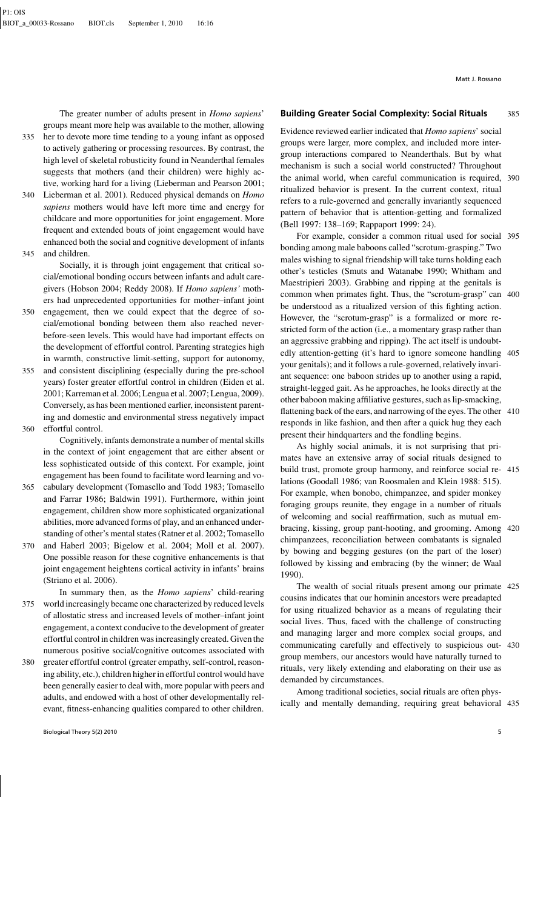The greater number of adults present in *Homo sapiens*' groups meant more help was available to the mother, allowing

- 335 her to devote more time tending to a young infant as opposed to actively gathering or processing resources. By contrast, the high level of skeletal robusticity found in Neanderthal females suggests that mothers (and their children) were highly active, working hard for a living (Lieberman and Pearson 2001;
- 340 Lieberman et al. 2001). Reduced physical demands on *Homo sapiens* mothers would have left more time and energy for childcare and more opportunities for joint engagement. More frequent and extended bouts of joint engagement would have enhanced both the social and cognitive development of infants 345 and children.

Socially, it is through joint engagement that critical social/emotional bonding occurs between infants and adult caregivers (Hobson 2004; Reddy 2008). If *Homo sapiens'* mothers had unprecedented opportunities for mother–infant joint

- 350 engagement, then we could expect that the degree of social/emotional bonding between them also reached neverbefore-seen levels. This would have had important effects on the development of effortful control. Parenting strategies high in warmth, constructive limit-setting, support for autonomy,
- 355 and consistent disciplining (especially during the pre-school years) foster greater effortful control in children (Eiden et al. 2001; Karreman et al. 2006; Lengua et al. 2007; Lengua, 2009). Conversely, as has been mentioned earlier, inconsistent parenting and domestic and environmental stress negatively impact 360 effortful control.
- 

Cognitively, infants demonstrate a number of mental skills in the context of joint engagement that are either absent or less sophisticated outside of this context. For example, joint engagement has been found to facilitate word learning and vo-

- 365 cabulary development (Tomasello and Todd 1983; Tomasello and Farrar 1986; Baldwin 1991). Furthermore, within joint engagement, children show more sophisticated organizational abilities, more advanced forms of play, and an enhanced understanding of other's mental states (Ratner et al. 2002; Tomasello
- 370 and Haberl 2003; Bigelow et al. 2004; Moll et al. 2007). One possible reason for these cognitive enhancements is that joint engagement heightens cortical activity in infants' brains (Striano et al. 2006).
- In summary then, as the *Homo sapiens*' child-rearing 375 world increasingly became one characterized by reduced levels of allostatic stress and increased levels of mother–infant joint engagement, a context conducive to the development of greater effortful control in children was increasingly created. Given the numerous positive social/cognitive outcomes associated with
- 380 greater effortful control (greater empathy, self-control, reasoning ability, etc.), children higher in effortful control would have been generally easier to deal with, more popular with peers and adults, and endowed with a host of other developmentally relevant, fitness-enhancing qualities compared to other children.

Biological Theory 5(2) 2010 5

Matt J. Rossano

## **Building Greater Social Complexity: Social Rituals** 385

Evidence reviewed earlier indicated that *Homo sapiens*' social groups were larger, more complex, and included more intergroup interactions compared to Neanderthals. But by what mechanism is such a social world constructed? Throughout the animal world, when careful communication is required, 390 ritualized behavior is present. In the current context, ritual refers to a rule-governed and generally invariantly sequenced pattern of behavior that is attention-getting and formalized (Bell 1997: 138–169; Rappaport 1999: 24).

For example, consider a common ritual used for social 395 bonding among male baboons called "scrotum-grasping." Two males wishing to signal friendship will take turns holding each other's testicles (Smuts and Watanabe 1990; Whitham and Maestripieri 2003). Grabbing and ripping at the genitals is common when primates fight. Thus, the "scrotum-grasp" can 400 be understood as a ritualized version of this fighting action. However, the "scrotum-grasp" is a formalized or more restricted form of the action (i.e., a momentary grasp rather than an aggressive grabbing and ripping). The act itself is undoubtedly attention-getting (it's hard to ignore someone handling 405 your genitals); and it follows a rule-governed, relatively invariant sequence: one baboon strides up to another using a rapid, straight-legged gait. As he approaches, he looks directly at the other baboon making affiliative gestures, such as lip-smacking, flattening back of the ears, and narrowing of the eyes. The other 410 responds in like fashion, and then after a quick hug they each present their hindquarters and the fondling begins.

As highly social animals, it is not surprising that primates have an extensive array of social rituals designed to build trust, promote group harmony, and reinforce social re- 415 lations (Goodall 1986; van Roosmalen and Klein 1988: 515). For example, when bonobo, chimpanzee, and spider monkey foraging groups reunite, they engage in a number of rituals of welcoming and social reaffirmation, such as mutual embracing, kissing, group pant-hooting, and grooming. Among 420 chimpanzees, reconciliation between combatants is signaled by bowing and begging gestures (on the part of the loser) followed by kissing and embracing (by the winner; de Waal 1990).

The wealth of social rituals present among our primate 425 cousins indicates that our hominin ancestors were preadapted for using ritualized behavior as a means of regulating their social lives. Thus, faced with the challenge of constructing and managing larger and more complex social groups, and communicating carefully and effectively to suspicious out- 430 group members, our ancestors would have naturally turned to rituals, very likely extending and elaborating on their use as demanded by circumstances.

Among traditional societies, social rituals are often physically and mentally demanding, requiring great behavioral 435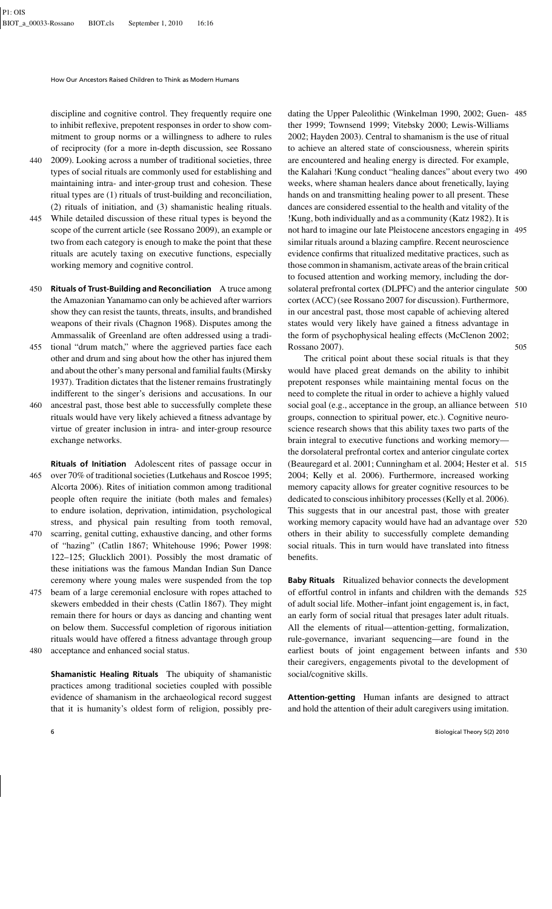discipline and cognitive control. They frequently require one to inhibit reflexive, prepotent responses in order to show commitment to group norms or a willingness to adhere to rules of reciprocity (for a more in-depth discussion, see Rossano

- 440 2009). Looking across a number of traditional societies, three types of social rituals are commonly used for establishing and maintaining intra- and inter-group trust and cohesion. These ritual types are (1) rituals of trust-building and reconciliation, (2) rituals of initiation, and (3) shamanistic healing rituals.
- 445 While detailed discussion of these ritual types is beyond the scope of the current article (see Rossano 2009), an example or two from each category is enough to make the point that these rituals are acutely taxing on executive functions, especially working memory and cognitive control.
- 450 **Rituals of Trust-Building and Reconciliation** A truce among the Amazonian Yanamamo can only be achieved after warriors show they can resist the taunts, threats, insults, and brandished weapons of their rivals (Chagnon 1968). Disputes among the Ammassalik of Greenland are often addressed using a tradi-
- 455 tional "drum match," where the aggrieved parties face each other and drum and sing about how the other has injured them and about the other's many personal and familial faults (Mirsky 1937). Tradition dictates that the listener remains frustratingly indifferent to the singer's derisions and accusations. In our
- 460 ancestral past, those best able to successfully complete these rituals would have very likely achieved a fitness advantage by virtue of greater inclusion in intra- and inter-group resource exchange networks.

**Rituals of Initiation** Adolescent rites of passage occur in 465 over 70% of traditional societies (Lutkehaus and Roscoe 1995; Alcorta 2006). Rites of initiation common among traditional people often require the initiate (both males and females) to endure isolation, deprivation, intimidation, psychological stress, and physical pain resulting from tooth removal, 470 scarring, genital cutting, exhaustive dancing, and other forms

- of "hazing" (Catlin 1867; Whitehouse 1996; Power 1998: 122–125; Glucklich 2001). Possibly the most dramatic of these initiations was the famous Mandan Indian Sun Dance ceremony where young males were suspended from the top
- 475 beam of a large ceremonial enclosure with ropes attached to skewers embedded in their chests (Catlin 1867). They might remain there for hours or days as dancing and chanting went on below them. Successful completion of rigorous initiation rituals would have offered a fitness advantage through group 480 acceptance and enhanced social status.
- 

**Shamanistic Healing Rituals** The ubiquity of shamanistic practices among traditional societies coupled with possible evidence of shamanism in the archaeological record suggest that it is humanity's oldest form of religion, possibly predating the Upper Paleolithic (Winkelman 1990, 2002; Guen- 485 ther 1999; Townsend 1999; Vitebsky 2000; Lewis-Williams 2002; Hayden 2003). Central to shamanism is the use of ritual to achieve an altered state of consciousness, wherein spirits are encountered and healing energy is directed. For example, the Kalahari !Kung conduct "healing dances" about every two 490 weeks, where shaman healers dance about frenetically, laying hands on and transmitting healing power to all present. These dances are considered essential to the health and vitality of the !Kung, both individually and as a community (Katz 1982). It is not hard to imagine our late Pleistocene ancestors engaging in 495 similar rituals around a blazing campfire. Recent neuroscience evidence confirms that ritualized meditative practices, such as those common in shamanism, activate areas of the brain critical to focused attention and working memory, including the dorsolateral prefrontal cortex (DLPFC) and the anterior cingulate 500 cortex (ACC) (see Rossano 2007 for discussion). Furthermore, in our ancestral past, those most capable of achieving altered states would very likely have gained a fitness advantage in the form of psychophysical healing effects (McClenon 2002; Rossano 2007). 505

The critical point about these social rituals is that they would have placed great demands on the ability to inhibit prepotent responses while maintaining mental focus on the need to complete the ritual in order to achieve a highly valued social goal (e.g., acceptance in the group, an alliance between 510 groups, connection to spiritual power, etc.). Cognitive neuroscience research shows that this ability taxes two parts of the brain integral to executive functions and working memory the dorsolateral prefrontal cortex and anterior cingulate cortex (Beauregard et al. 2001; Cunningham et al. 2004; Hester et al. 515 2004; Kelly et al. 2006). Furthermore, increased working memory capacity allows for greater cognitive resources to be dedicated to conscious inhibitory processes (Kelly et al. 2006). This suggests that in our ancestral past, those with greater working memory capacity would have had an advantage over 520 others in their ability to successfully complete demanding social rituals. This in turn would have translated into fitness benefits.

**Baby Rituals** Ritualized behavior connects the development of effortful control in infants and children with the demands 525 of adult social life. Mother–infant joint engagement is, in fact, an early form of social ritual that presages later adult rituals. All the elements of ritual—attention-getting, formalization, rule-governance, invariant sequencing—are found in the earliest bouts of joint engagement between infants and 530 their caregivers, engagements pivotal to the development of social/cognitive skills.

**Attention-getting** Human infants are designed to attract and hold the attention of their adult caregivers using imitation.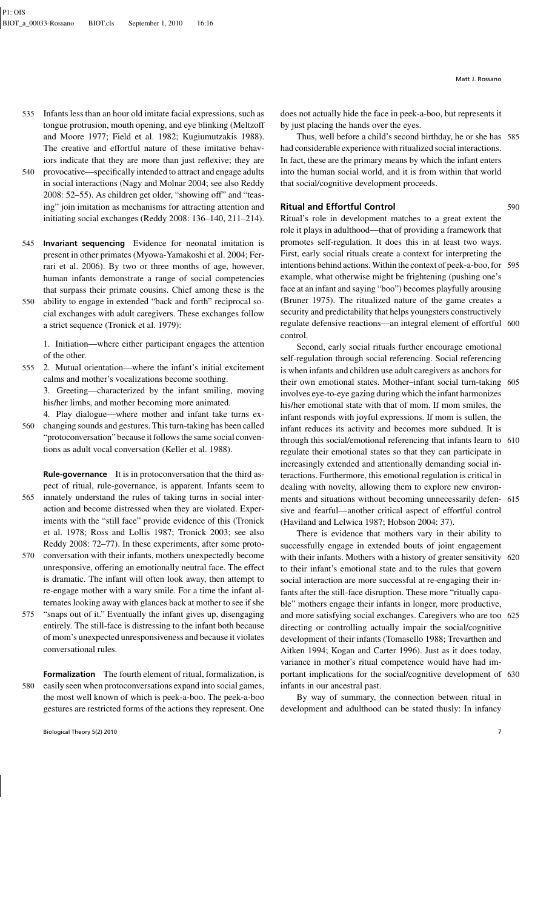- 535 Infants less than an hour old imitate facial expressions, such as tongue protrusion, mouth opening, and eye blinking (Meltzoff and Moore 1977; Field et al. 1982; Kugiumutzakis 1988). The creative and effortful nature of these imitative behaviors indicate that they are more than just reflexive; they are
- 540 provocative—specifically intended to attract and engage adults in social interactions (Nagy and Molnar 2004; see also Reddy 2008: 52–55). As children get older, "showing off" and "teasing" join imitation as mechanisms for attracting attention and initiating social exchanges (Reddy 2008: 136–140, 211–214).
- 545 **Invariant sequencing** Evidence for neonatal imitation is present in other primates (Myowa-Yamakoshi et al. 2004; Ferrari et al. 2006). By two or three months of age, however, human infants demonstrate a range of social competencies that surpass their primate cousins. Chief among these is the
- 550 ability to engage in extended "back and forth" reciprocal social exchanges with adult caregivers. These exchanges follow a strict sequence (Tronick et al. 1979):

1. Initiation—where either participant engages the attention of the other.

- 555 2. Mutual orientation—where the infant's initial excitement calms and mother's vocalizations become soothing. 3. Greeting—characterized by the infant smiling, moving his/her limbs, and mother becoming more animated. 4. Play dialogue—where mother and infant take turns ex-
- 560 changing sounds and gestures. This turn-taking has been called "protoconversation" because it follows the same social conventions as adult vocal conversation (Keller et al. 1988).

**Rule-governance** It is in protoconversation that the third aspect of ritual, rule-governance, is apparent. Infants seem to 565 innately understand the rules of taking turns in social interaction and become distressed when they are violated. Experiments with the "still face" provide evidence of this (Tronick et al. 1978; Ross and Lollis 1987; Tronick 2003; see also Reddy 2008: 72–77). In these experiments, after some proto-

- 570 conversation with their infants, mothers unexpectedly become unresponsive, offering an emotionally neutral face. The effect is dramatic. The infant will often look away, then attempt to re-engage mother with a wary smile. For a time the infant alternates looking away with glances back at mother to see if she
- 575 "snaps out of it." Eventually the infant gives up, disengaging entirely. The still-face is distressing to the infant both because of mom's unexpected unresponsiveness and because it violates conversational rules.
- **Formalization** The fourth element of ritual, formalization, is 580 easily seen when protoconversations expand into social games, the most well known of which is peek-a-boo. The peek-a-boo gestures are restricted forms of the actions they represent. One

Biological Theory 5(2) 2010 7

Matt J. Rossano

does not actually hide the face in peek-a-boo, but represents it by just placing the hands over the eyes.

Thus, well before a child's second birthday, he or she has 585 had considerable experience with ritualized social interactions. In fact, these are the primary means by which the infant enters into the human social world, and it is from within that world that social/cognitive development proceeds.

## **Ritual and Effortful Control** 590

Ritual's role in development matches to a great extent the role it plays in adulthood—that of providing a framework that promotes self-regulation. It does this in at least two ways. First, early social rituals create a context for interpreting the intentions behind actions. Within the context of peek-a-boo, for 595 example, what otherwise might be frightening (pushing one's face at an infant and saying "boo") becomes playfully arousing (Bruner 1975). The ritualized nature of the game creates a security and predictability that helps youngsters constructively regulate defensive reactions—an integral element of effortful 600 control.

Second, early social rituals further encourage emotional self-regulation through social referencing. Social referencing is when infants and children use adult caregivers as anchors for their own emotional states. Mother–infant social turn-taking 605 involves eye-to-eye gazing during which the infant harmonizes his/her emotional state with that of mom. If mom smiles, the infant responds with joyful expressions. If mom is sullen, the infant reduces its activity and becomes more subdued. It is through this social/emotional referencing that infants learn to 610 regulate their emotional states so that they can participate in increasingly extended and attentionally demanding social interactions. Furthermore, this emotional regulation is critical in dealing with novelty, allowing them to explore new environments and situations without becoming unnecessarily defen- 615 sive and fearful—another critical aspect of effortful control (Haviland and Lelwica 1987; Hobson 2004: 37).

There is evidence that mothers vary in their ability to successfully engage in extended bouts of joint engagement with their infants. Mothers with a history of greater sensitivity 620 to their infant's emotional state and to the rules that govern social interaction are more successful at re-engaging their infants after the still-face disruption. These more "ritually capable" mothers engage their infants in longer, more productive, and more satisfying social exchanges. Caregivers who are too 625 directing or controlling actually impair the social/cognitive development of their infants (Tomasello 1988; Trevarthen and Aitken 1994; Kogan and Carter 1996). Just as it does today, variance in mother's ritual competence would have had important implications for the social/cognitive development of 630 infants in our ancestral past.

By way of summary, the connection between ritual in development and adulthood can be stated thusly: In infancy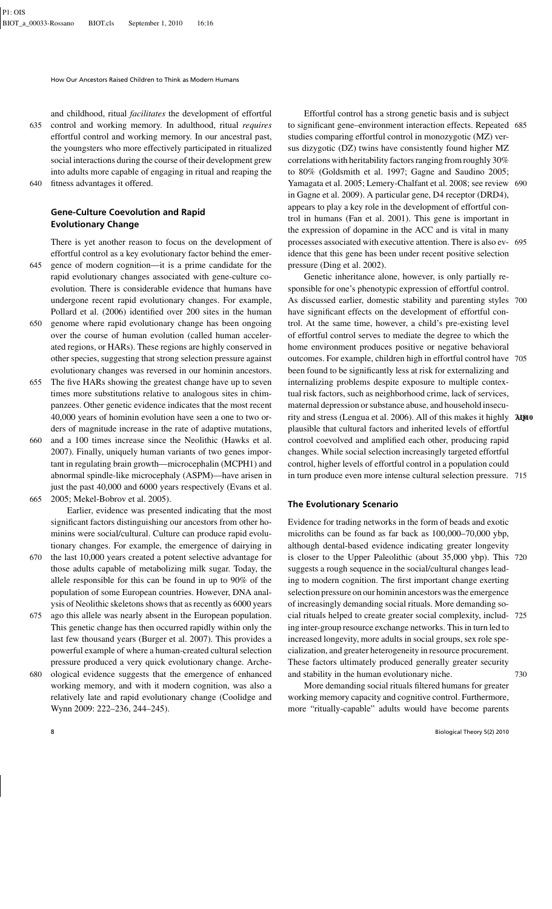- and childhood, ritual *facilitates* the development of effortful 635 control and working memory. In adulthood, ritual *requires* effortful control and working memory. In our ancestral past, the youngsters who more effectively participated in ritualized social interactions during the course of their development grew into adults more capable of engaging in ritual and reaping the
- 640 fitness advantages it offered.

# **Gene-Culture Coevolution and Rapid Evolutionary Change**

There is yet another reason to focus on the development of effortful control as a key evolutionary factor behind the emer-

- 645 gence of modern cognition—it is a prime candidate for the rapid evolutionary changes associated with gene-culture coevolution. There is considerable evidence that humans have undergone recent rapid evolutionary changes. For example, Pollard et al. (2006) identified over 200 sites in the human 650 genome where rapid evolutionary change has been ongoing
- over the course of human evolution (called human accelerated regions, or HARs). These regions are highly conserved in other species, suggesting that strong selection pressure against evolutionary changes was reversed in our hominin ancestors.
- 655 The five HARs showing the greatest change have up to seven times more substitutions relative to analogous sites in chimpanzees. Other genetic evidence indicates that the most recent 40,000 years of hominin evolution have seen a one to two orders of magnitude increase in the rate of adaptive mutations,
- 660 and a 100 times increase since the Neolithic (Hawks et al. 2007). Finally, uniquely human variants of two genes important in regulating brain growth—microcephalin (MCPH1) and abnormal spindle-like microcephaly (ASPM)—have arisen in just the past 40,000 and 6000 years respectively (Evans et al. 665 2005; Mekel-Bobrov et al. 2005).

Earlier, evidence was presented indicating that the most significant factors distinguishing our ancestors from other hominins were social/cultural. Culture can produce rapid evolutionary changes. For example, the emergence of dairying in

- 670 the last 10,000 years created a potent selective advantage for those adults capable of metabolizing milk sugar. Today, the allele responsible for this can be found in up to 90% of the population of some European countries. However, DNA analysis of Neolithic skeletons shows that as recently as 6000 years
- 675 ago this allele was nearly absent in the European population. This genetic change has then occurred rapidly within only the last few thousand years (Burger et al. 2007). This provides a powerful example of where a human-created cultural selection pressure produced a very quick evolutionary change. Arche-
- 680 ological evidence suggests that the emergence of enhanced working memory, and with it modern cognition, was also a relatively late and rapid evolutionary change (Coolidge and Wynn 2009: 222–236, 244–245).

Effortful control has a strong genetic basis and is subject to significant gene–environment interaction effects. Repeated 685 studies comparing effortful control in monozygotic (MZ) versus dizygotic (DZ) twins have consistently found higher MZ correlations with heritability factors ranging from roughly 30% to 80% (Goldsmith et al. 1997; Gagne and Saudino 2005; Yamagata et al. 2005; Lemery-Chalfant et al. 2008; see review 690 in Gagne et al. 2009). A particular gene, D4 receptor (DRD4), appears to play a key role in the development of effortful control in humans (Fan et al. 2001). This gene is important in the expression of dopamine in the ACC and is vital in many processes associated with executive attention. There is also ev- 695 idence that this gene has been under recent positive selection pressure (Ding et al. 2002).

Genetic inheritance alone, however, is only partially responsible for one's phenotypic expression of effortful control. As discussed earlier, domestic stability and parenting styles 700 have significant effects on the development of effortful control. At the same time, however, a child's pre-existing level of effortful control serves to mediate the degree to which the home environment produces positive or negative behavioral outcomes. For example, children high in effortful control have 705 been found to be significantly less at risk for externalizing and internalizing problems despite exposure to multiple contextual risk factors, such as neighborhood crime, lack of services, maternal depression or substance abuse, and household insecurity and stress (Lengua et al. 2006). All of this makes it highly **AQ10** plausible that cultural factors and inherited levels of effortful control coevolved and amplified each other, producing rapid changes. While social selection increasingly targeted effortful control, higher levels of effortful control in a population could in turn produce even more intense cultural selection pressure. 715

## **The Evolutionary Scenario**

Evidence for trading networks in the form of beads and exotic microliths can be found as far back as 100,000–70,000 ybp, although dental-based evidence indicating greater longevity is closer to the Upper Paleolithic (about 35,000 ybp). This 720 suggests a rough sequence in the social/cultural changes leading to modern cognition. The first important change exerting selection pressure on our hominin ancestors was the emergence of increasingly demanding social rituals. More demanding social rituals helped to create greater social complexity, includ- 725 ing inter-group resource exchange networks. This in turn led to increased longevity, more adults in social groups, sex role specialization, and greater heterogeneity in resource procurement. These factors ultimately produced generally greater security and stability in the human evolutionary niche. 730

More demanding social rituals filtered humans for greater working memory capacity and cognitive control. Furthermore, more "ritually-capable" adults would have become parents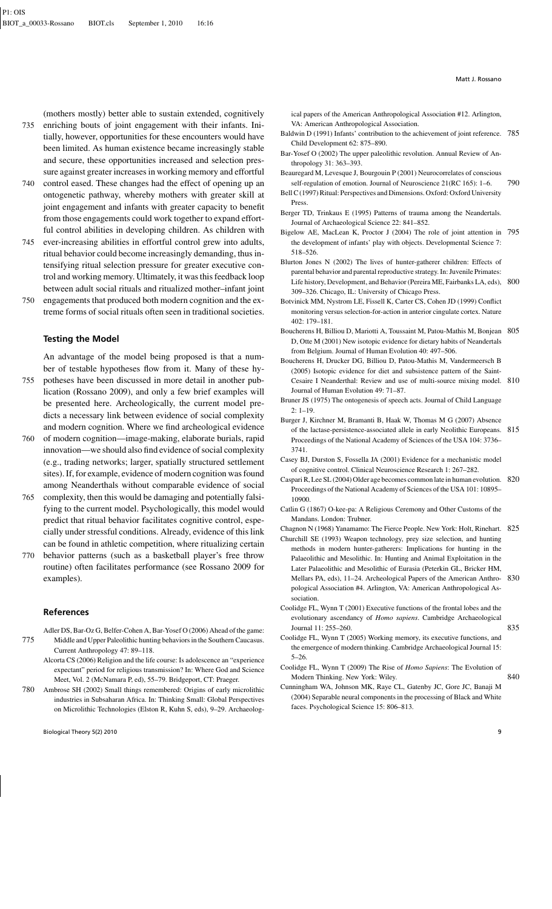(mothers mostly) better able to sustain extended, cognitively 735 enriching bouts of joint engagement with their infants. Initially, however, opportunities for these encounters would have been limited. As human existence became increasingly stable

- and secure, these opportunities increased and selection pressure against greater increases in working memory and effortful 740 control eased. These changes had the effect of opening up an
- ontogenetic pathway, whereby mothers with greater skill at joint engagement and infants with greater capacity to benefit from those engagements could work together to expand effortful control abilities in developing children. As children with
- 745 ever-increasing abilities in effortful control grew into adults, ritual behavior could become increasingly demanding, thus intensifying ritual selection pressure for greater executive control and working memory. Ultimately, it was this feedback loop between adult social rituals and ritualized mother–infant joint
- 750 engagements that produced both modern cognition and the extreme forms of social rituals often seen in traditional societies.

## **Testing the Model**

An advantage of the model being proposed is that a number of testable hypotheses flow from it. Many of these hy-755 potheses have been discussed in more detail in another publication (Rossano 2009), and only a few brief examples will be presented here. Archeologically, the current model predicts a necessary link between evidence of social complexity and modern cognition. Where we find archeological evidence

- 760 of modern cognition—image-making, elaborate burials, rapid innovation—we should also find evidence of social complexity (e.g., trading networks; larger, spatially structured settlement sites). If, for example, evidence of modern cognition was found among Neanderthals without comparable evidence of social
- 765 complexity, then this would be damaging and potentially falsifying to the current model. Psychologically, this model would predict that ritual behavior facilitates cognitive control, especially under stressful conditions. Already, evidence of this link can be found in athletic competition, where ritualizing certain
- 770 behavior patterns (such as a basketball player's free throw routine) often facilitates performance (see Rossano 2009 for examples).

### **References**

- Adler DS, Bar-Oz G, Belfer-Cohen A, Bar-Yosef O (2006) Ahead of the game: 775 Middle and Upper Paleolithic hunting behaviors in the Southern Caucasus. Current Anthropology 47: 89–118.
	- Alcorta CS (2006) Religion and the life course: Is adolescence an "experience expectant" period for religious transmission? In: Where God and Science Meet, Vol. 2 (McNamara P, ed), 55–79. Bridgeport, CT: Praeger.
- 780 Ambrose SH (2002) Small things remembered: Origins of early microlithic industries in Subsaharan Africa. In: Thinking Small: Global Perspectives on Microlithic Technologies (Elston R, Kuhn S, eds), 9–29. Archaeolog-

Matt J. Rossano

ical papers of the American Anthropological Association #12. Arlington, VA: American Anthropological Association.

- Baldwin D (1991) Infants' contribution to the achievement of joint reference. 785 Child Development 62: 875–890.
- Bar-Yosef O (2002) The upper paleolithic revolution. Annual Review of Anthropology 31: 363–393.
- Beauregard M, Levesque J, Bourgouin P (2001) Neurocorrelates of conscious self-regulation of emotion. Journal of Neuroscience 21(RC 165): 1–6. 790
- Bell C (1997) Ritual: Perspectives and Dimensions. Oxford: Oxford University Press.
- Berger TD, Trinkaus E (1995) Patterns of trauma among the Neandertals. Journal of Archaeological Science 22: 841–852.
- Bigelow AE, MacLean K, Proctor J (2004) The role of joint attention in 795 the development of infants' play with objects. Developmental Science 7: 518–526.

Blurton Jones N (2002) The lives of hunter-gatherer children: Effects of parental behavior and parental reproductive strategy. In: Juvenile Primates: Life history, Development, and Behavior (Pereira ME, Fairbanks LA, eds), 800 309–326. Chicago, IL: University of Chicago Press.

- Botvinick MM, Nystrom LE, Fissell K, Carter CS, Cohen JD (1999) Conflict monitoring versus selection-for-action in anterior cingulate cortex. Nature 402: 179–181.
- Boucherens H, Billiou D, Mariotti A, Toussaint M, Patou-Mathis M, Bonjean 805 D, Otte M (2001) New isotopic evidence for dietary habits of Neandertals from Belgium. Journal of Human Evolution 40: 497–506.
- Boucherens H, Drucker DG, Billiou D, Patou-Mathis M, Vandermeersch B (2005) Isotopic evidence for diet and subsistence pattern of the Saint-Cesaire I Neanderthal: Review and use of multi-source mixing model. 810 Journal of Human Evolution 49: 71–87.
- Bruner JS (1975) The ontogenesis of speech acts. Journal of Child Language  $2: 1 - 19.$
- Burger J, Kirchner M, Bramanti B, Haak W, Thomas M G (2007) Absence of the lactase-persistence-associated allele in early Neolithic Europeans. 815 Proceedings of the National Academy of Sciences of the USA 104: 3736– 3741.
- Casey BJ, Durston S, Fossella JA (2001) Evidence for a mechanistic model of cognitive control. Clinical Neuroscience Research 1: 267–282.
- Caspari R, Lee SL (2004) Older age becomes common late in human evolution. 820 Proceedings of the National Academy of Sciences of the USA 101: 10895– 10900.
- Catlin G (1867) O-kee-pa: A Religious Ceremony and Other Customs of the Mandans. London: Trubner.

Chagnon N (1968) Yanamamo: The Fierce People. New York: Holt, Rinehart. 825 Churchill SE (1993) Weapon technology, prey size selection, and hunting

- methods in modern hunter-gatherers: Implications for hunting in the Palaeolithic and Mesolithic. In: Hunting and Animal Exploitation in the Later Palaeolithic and Mesolithic of Eurasia (Peterkin GL, Bricker HM, Mellars PA, eds), 11–24. Archeological Papers of the American Anthro- 830 pological Association #4. Arlington, VA: American Anthropological Association.
- Coolidge FL, Wynn T (2001) Executive functions of the frontal lobes and the evolutionary ascendancy of *Homo sapiens*. Cambridge Archaeological Journal 11: 255–260. 835
- Coolidge FL, Wynn T (2005) Working memory, its executive functions, and the emergence of modern thinking. Cambridge Archaeological Journal 15: 5–26.
- Coolidge FL, Wynn T (2009) The Rise of *Homo Sapiens*: The Evolution of Modern Thinking. New York: Wiley. 840
- Cunningham WA, Johnson MK, Raye CL, Gatenby JC, Gore JC, Banaji M (2004) Separable neural components in the processing of Black and White faces. Psychological Science 15: 806–813.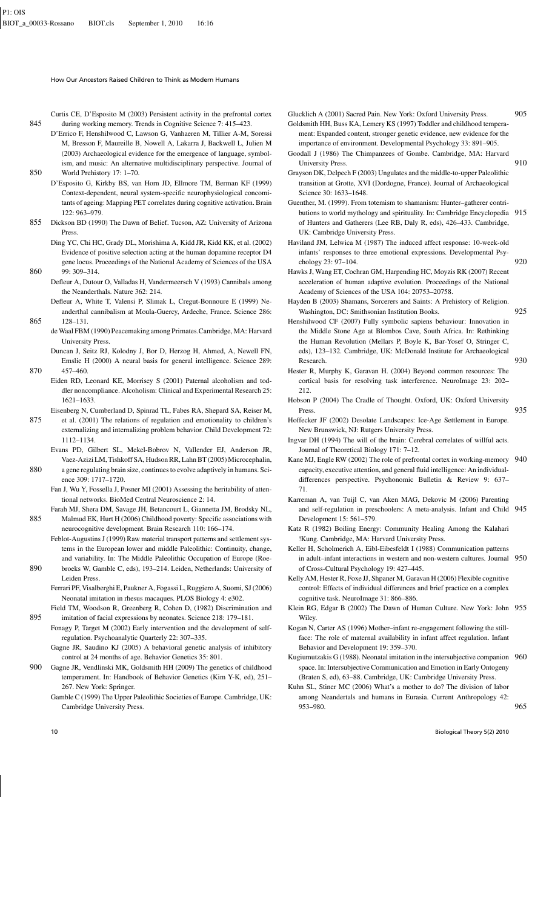- Curtis CE, D'Esposito M (2003) Persistent activity in the prefrontal cortex 845 during working memory. Trends in Cognitive Science 7: 415–423.
- D'Errico F, Henshilwood C, Lawson G, Vanhaeren M, Tillier A-M, Soressi M, Bresson F, Maureille B, Nowell A, Lakarra J, Backwell L, Julien M (2003) Archaeological evidence for the emergence of language, symbolism, and music: An alternative multidisciplinary perspective. Journal of 850 World Prehistory 17: 1–70.
- D'Esposito G, Kirkby BS, van Horn JD, Ellmore TM, Berman KF (1999) Context-dependent, neural system-specific neurophysiological concomitants of ageing: Mapping PET correlates during cognitive activation. Brain 122: 963–979.
- 855 Dickson BD (1990) The Dawn of Belief. Tucson, AZ: University of Arizona Press.
- Ding YC, Chi HC, Grady DL, Morishima A, Kidd JR, Kidd KK, et al. (2002) Evidence of positive selection acting at the human dopamine receptor D4 gene locus. Proceedings of the National Academy of Sciences of the USA 860 99: 309–314.
- Defleur A, Dutour O, Valladas H, Vandermeersch V (1993) Cannibals among the Neanderthals. Nature 362: 214.
- Defleur A, White T, Valensi P, Slimak L, Cregut-Bonnoure E (1999) Neanderthal cannibalism at Moula-Guercy, Ardeche, France. Science 286: 865 128–131.
	- de Waal FBM (1990) Peacemaking among Primates*.*Cambridge, MA: Harvard University Press.
- Duncan J, Seitz RJ, Kolodny J, Bor D, Herzog H, Ahmed, A, Newell FN, Emslie H (2000) A neural basis for general intelligence. Science 289: 870 457–460.
	- Eiden RD, Leonard KE, Morrisey S (2001) Paternal alcoholism and toddler noncompliance. Alcoholism: Clinical and Experimental Research 25: 1621–1633.
- Eisenberg N, Cumberland D, Spinrad TL, Fabes RA, Shepard SA, Reiser M, 875 et al. (2001) The relations of regulation and emotionality to children's externalizing and internalizing problem behavior. Child Development 72: 1112–1134.
- Evans PD, Gilbert SL, Mekel-Bobrov N, Vallender EJ, Anderson JR, Vaez-Azizi LM, Tishkoff SA, Hudson RR, Lahn BT (2005) Microcephalin, 880 a gene regulating brain size, continues to evolve adaptively in humans. Science 309: 1717–1720.
	- Fan J, Wu Y, Fossella J, Posner MI (2001) Assessing the heritability of attentional networks. BioMed Central Neuroscience 2: 14.
- Farah MJ, Shera DM, Savage JH, Betancourt L, Giannetta JM, Brodsky NL, 885 Malmud EK, Hurt H (2006) Childhood poverty: Specific associations with neurocognitive development. Brain Research 110: 166–174.
- Feblot-Augustins J (1999) Raw material transport patterns and settlement systems in the European lower and middle Paleolithic: Continuity, change, and variability. In: The Middle Paleolithic Occupation of Europe (Roe-890 broeks W, Gamble C, eds), 193–214. Leiden, Netherlands: University of Leiden Press.
	- Ferrari PF, Visalberghi E, Paukner A, Fogassi L, Ruggiero A, Suomi, SJ (2006) Neonatal imitation in rhesus macaques. PLOS Biology 4: e302.
- Field TM, Woodson R, Greenberg R, Cohen D, (1982) Discrimination and 895 imitation of facial expressions by neonates. Science 218: 179–181.
	- Fonagy P, Target M (2002) Early intervention and the development of selfregulation. Psychoanalytic Quarterly 22: 307–335.
		- Gagne JR, Saudino KJ (2005) A behavioral genetic analysis of inhibitory control at 24 months of age. Behavior Genetics 35: 801.
- 900 Gagne JR, Vendlinski MK, Goldsmith HH (2009) The genetics of childhood temperament. In: Handbook of Behavior Genetics (Kim Y-K, ed), 251– 267. New York: Springer.
	- Gamble C (1999) The Upper Paleolithic Societies of Europe. Cambridge, UK: Cambridge University Press.
- Glucklich A (2001) Sacred Pain. New York: Oxford University Press. 905 Goldsmith HH, Buss KA, Lemery KS (1997) Toddler and childhood tempera-
- ment: Expanded content, stronger genetic evidence, new evidence for the importance of environment. Developmental Psychology 33: 891–905. Goodall J (1986) The Chimpanzees of Gombe. Cambridge, MA: Harvard
- University Press. 910 Grayson DK, Delpech F (2003) Ungulates and the middle-to-upper Paleolithic
- transition at Grotte, XVI (Dordogne, France). Journal of Archaeological Science 30: 1633–1648.
- Guenther, M. (1999). From totemism to shamanism: Hunter–gatherer contributions to world mythology and spirituality. In: Cambridge Encyclopedia 915 of Hunters and Gatherers (Lee RB, Daly R, eds), 426–433. Cambridge, UK: Cambridge University Press.
- Haviland JM, Lelwica M (1987) The induced affect response: 10-week-old infants' responses to three emotional expressions. Developmental Psychology 23: 97–104. 920
- Hawks J, Wang ET, Cochran GM, Harpending HC, Moyzis RK (2007) Recent acceleration of human adaptive evolution. Proceedings of the National Academy of Sciences of the USA 104: 20753–20758.
- Hayden B (2003) Shamans, Sorcerers and Saints: A Prehistory of Religion. Washington, DC: Smithsonian Institution Books. 925
- Henshilwood CF (2007) Fully symbolic sapiens behaviour: Innovation in the Middle Stone Age at Blombos Cave, South Africa. In: Rethinking the Human Revolution (Mellars P, Boyle K, Bar-Yosef O, Stringer C, eds), 123–132. Cambridge, UK: McDonald Institute for Archaeological Research. 930
- Hester R, Murphy K, Garavan H. (2004) Beyond common resources: The cortical basis for resolving task interference. NeuroImage 23: 202– 212.
- Hobson P (2004) The Cradle of Thought. Oxford, UK: Oxford University Press. 935
- Hoffecker JF (2002) Desolate Landscapes: Ice-Age Settlement in Europe. New Brunswick, NJ: Rutgers University Press.
- Ingvar DH (1994) The will of the brain: Cerebral correlates of willful acts. Journal of Theoretical Biology 171: 7–12.
- Kane MJ, Engle RW (2002) The role of prefrontal cortex in working-memory 940 capacity, executive attention, and general fluid intelligence: An individualdifferences perspective. Psychonomic Bulletin & Review 9: 637– 71.
- Karreman A, van Tuijl C, van Aken MAG, Dekovic M (2006) Parenting and self-regulation in preschoolers: A meta-analysis. Infant and Child 945 Development 15: 561–579.
- Katz R (1982) Boiling Energy: Community Healing Among the Kalahari !Kung. Cambridge, MA: Harvard University Press.
- Keller H, Scholmerich A, Eibl-Eibesfeldt I (1988) Communication patterns in adult–infant interactions in western and non-western cultures. Journal 950 of Cross-Cultural Psychology 19: 427–445.
- Kelly AM, Hester R, Foxe JJ, Shpaner M, Garavan H (2006) Flexible cognitive control: Effects of individual differences and brief practice on a complex cognitive task. NeuroImage 31: 866–886.
- Klein RG, Edgar B (2002) The Dawn of Human Culture. New York: John 955 Wiley.
- Kogan N, Carter AS (1996) Mother–infant re-engagement following the stillface: The role of maternal availability in infant affect regulation. Infant Behavior and Development 19: 359–370.
- Kugiumutzakis G (1988). Neonatal imitation in the intersubjective companion 960 space. In: Intersubjective Communication and Emotion in Early Ontogeny (Braten S, ed), 63–88. Cambridge, UK: Cambridge University Press.
- Kuhn SL, Stiner MC (2006) What's a mother to do? The division of labor among Neandertals and humans in Eurasia. Current Anthropology 42: 953–980. 965

10 Biological Theory 5(2) 2010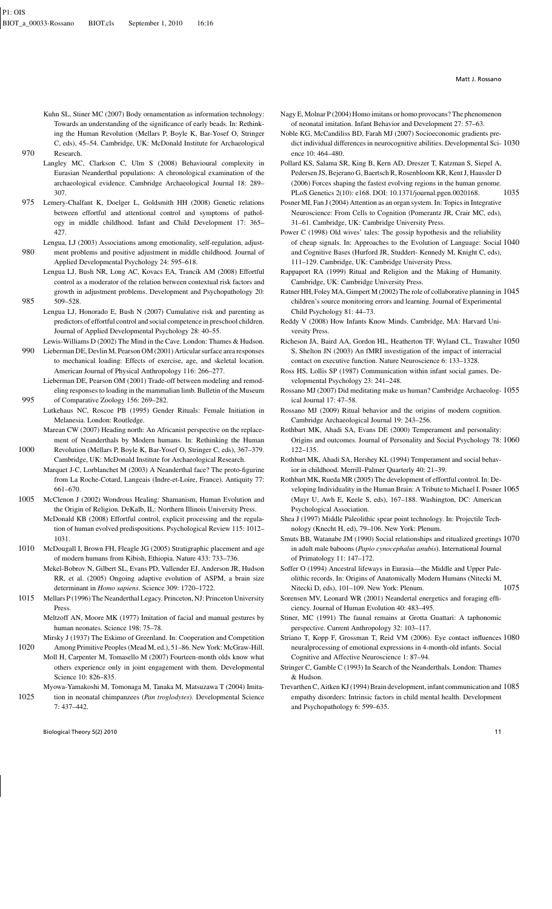Matt J. Rossano

- Kuhn SL, Stiner MC (2007) Body ornamentation as information technology: Towards an understanding of the significance of early beads. In: Rethinking the Human Revolution (Mellars P, Boyle K, Bar-Yosef O, Stringer C, eds), 45–54. Cambridge, UK: McDonald Institute for Archaeological 970 Research.
- Langley MC, Clarkson C, Ulm S (2008) Behavioural complexity in Eurasian Neanderthal populations: A chronological examination of the archaeological evidence. Cambridge Archaeological Journal 18: 289– 307.
- 975 Lemery-Chalfant K, Doelger L, Goldsmith HH (2008) Genetic relations between effortful and attentional control and symptoms of pathology in middle childhood. Infant and Child Development 17: 365– 427.
- Lengua, LJ (2003) Associations among emotionality, self-regulation, adjust-980 ment problems and positive adjustment in middle childhood. Journal of Applied Developmental Psychology 24: 595–618.
- Lengua LJ, Bush NR, Long AC, Kovacs EA, Trancik AM (2008) Effortful control as a moderator of the relation between contextual risk factors and growth in adjustment problems. Development and Psychopathology 20: 985 509–528.
	- Lengua LJ, Honorado E, Bush N (2007) Cumulative risk and parenting as predictors of effortful control and social competence in preschool children. Journal of Applied Developmental Psychology 28: 40–55.

Lewis-Williams D (2002) The Mind in the Cave. London: Thames & Hudson.

- 990 Lieberman DE, Devlin M, Pearson OM (2001) Articular surface area responses to mechanical loading: Effects of exercise, age, and skeletal location. American Journal of Physical Anthropology 116: 266–277.
- Lieberman DE, Pearson OM (2001) Trade-off between modeling and remodeling responses to loading in the mammalian limb. Bulletin of the Museum 995 of Comparative Zoology 156: 269–282.
	- Lutkehaus NC, Roscoe PB (1995) Gender Rituals: Female Initiation in Melanesia. London: Routledge.
- Marean CW (2007) Heading north: An Africanist perspective on the replacement of Neanderthals by Modern humans. In: Rethinking the Human 1000 Revolution (Mellars P, Boyle K, Bar-Yosef O, Stringer C, eds), 367–379. Cambridge, UK: McDonald Institute for Archaeological Research.
	- Marquet J-C, Lorblanchet M (2003) A Neanderthal face? The proto-figurine from La Roche-Cotard, Langeais (Indre-et-Loire, France). Antiquity 77: 661–670.
- 1005 McClenon J (2002) Wondrous Healing: Shamanism, Human Evolution and the Origin of Religion. DeKalb, IL: Northern Illinois University Press. McDonald KB (2008) Effortful control, explicit processing and the regula-
- tion of human evolved predispositions. Psychological Review 115: 1012– 1031. 1010 McDougall I, Brown FH, Fleagle JG (2005) Stratigraphic placement and age
- of modern humans from Kibish, Ethiopia. Nature 433: 733–736.
	- Mekel-Bobrov N, Gilbert SL, Evans PD, Vallender EJ, Anderson JR, Hudson RR, et al. (2005) Ongoing adaptive evolution of ASPM, a brain size determinant in *Homo sapiens*. Science 309: 1720–1722.
- 1015 Mellars P (1996) The Neanderthal Legacy. Princeton, NJ: Princeton University Press.
	- Meltzoff AN, Moore MK (1977) Imitation of facial and manual gestures by human neonates. Science 198: 75–78.
- Mirsky J (1937) The Eskimo of Greenland. In: Cooperation and Competition 1020 Among Primitive Peoples (Mead M, ed.), 51–86. New York: McGraw-Hill.
- Moll H, Carpenter M, Tomasello M (2007) Fourteen-month olds know what others experience only in joint engagement with them. Developmental Science 10: 826–835.
- Myowa-Yamakoshi M, Tomonaga M, Tanaka M, Matsuzawa T (2004) Imita-1025 tion in neonatal chimpanzees (*Pan troglodytes*). Developmental Science 7: 437–442.

Nagy E, Molnar P (2004) Homo imitans or homo provocans? The phenomenon of neonatal imitation. Infant Behavior and Development 27: 57–63.

- Noble KG, McCandiliss BD, Farah MJ (2007) Socioeconomic gradients predict individual differences in neurocognitive abilities. Developmental Sci- 1030 ence 10: 464–480.
- Pollard KS, Salama SR, King B, Kern AD, Dreszer T, Katzman S, Siepel A, Pedersen JS, Bejerano G, Baertsch R, Rosenbloom KR, Kent J, Haussler D (2006) Forces shaping the fastest evolving regions in the human genome. PLoS Genetics 2(10): e168. DOI: 10.1371/journal.pgen.0020168. 1035

Posner MI, Fan J (2004) Attention as an organ system. In: Topics in Integrative Neuroscience: From Cells to Cognition (Pomerantz JR, Crair MC, eds), 31–61. Cambridge, UK: Cambridge University Press.

- Power C (1998) Old wives' tales: The gossip hypothesis and the reliability of cheap signals. In: Approaches to the Evolution of Language: Social 1040 and Cognitive Bases (Hurford JR, Studdert- Kennedy M, Knight C, eds), 111–129. Cambridge, UK: Cambridge University Press.
- Rappaport RA (1999) Ritual and Religion and the Making of Humanity. Cambridge, UK: Cambridge University Press.
- Ratner HH, Foley MA, Gimpert M (2002) The role of collaborative planning in 1045 children's source monitoring errors and learning. Journal of Experimental Child Psychology 81: 44–73.
- Reddy V (2008) How Infants Know Minds. Cambridge, MA: Harvard University Press.
- Richeson JA, Baird AA, Gordon HL, Heatherton TF, Wyland CL, Trawalter 1050 S, Shelton JN (2003) An fMRI investigation of the impact of interracial contact on executive function. Nature Neuroscience 6: 133–1328.
- Ross HS, Lollis SP (1987) Communication within infant social games. Developmental Psychology 23: 241–248.
- Rossano MJ (2007) Did meditating make us human? Cambridge Archaeolog- 1055 ical Journal 17: 47–58.
- Rossano MJ (2009) Ritual behavior and the origins of modern cognition. Cambridge Archaeological Journal 19: 243–256.
- Rothbart MK, Ahadi SA, Evans DE (2000) Temperament and personality: Origins and outcomes. Journal of Personality and Social Psychology 78: 1060 122–135.
- Rothbart MK, Ahadi SA, Hershey KL (1994) Temperament and social behavior in childhood. Merrill–Palmer Quarterly 40: 21–39.
- Rothbart MK, Rueda MR (2005) The development of effortful control. In: Developing Individuality in the Human Brain: A Tribute to Michael I. Posner 1065 (Mayr U, Awh E, Keele S, eds), 167–188. Washington, DC: American Psychological Association.
- Shea J (1997) Middle Paleolithic spear point technology. In: Projectile Technology (Knecht H, ed), 79–106. New York: Plenum.
- Smuts BB, Watanabe JM (1990) Social relationships and ritualized greetings 1070 in adult male baboons (*Papio cynocephalus anubis*). International Journal of Primatology 11: 147–172.

Soffer O (1994) Ancestral lifeways in Eurasia—the Middle and Upper Paleolithic records. In: Origins of Anatomically Modern Humans (Nitecki M, Nitecki D, eds), 101–109. New York: Plenum. 1075

- Sorensen MV, Leonard WR (2001) Neandertal energetics and foraging efficiency. Journal of Human Evolution 40: 483–495.
- Stiner, MC (1991) The faunal remains at Grotta Guattari: A taphonomic perspective. Current Anthropology 32: 103–117.
- Striano T, Kopp F, Grossman T, Reid VM (2006). Eye contact influences 1080 neuralprocessing of emotional expressions in 4-month-old infants. Social Cognitive and Affective Neuroscience 1: 87–94.
- Stringer C, Gamble C (1993) In Search of the Neanderthals. London: Thames & Hudson.
- Trevarthen C, Aitken KJ (1994) Brain development, infant communication and 1085 empathy disorders: Intrinsic factors in child mental health. Development and Psychopathology 6: 599–635.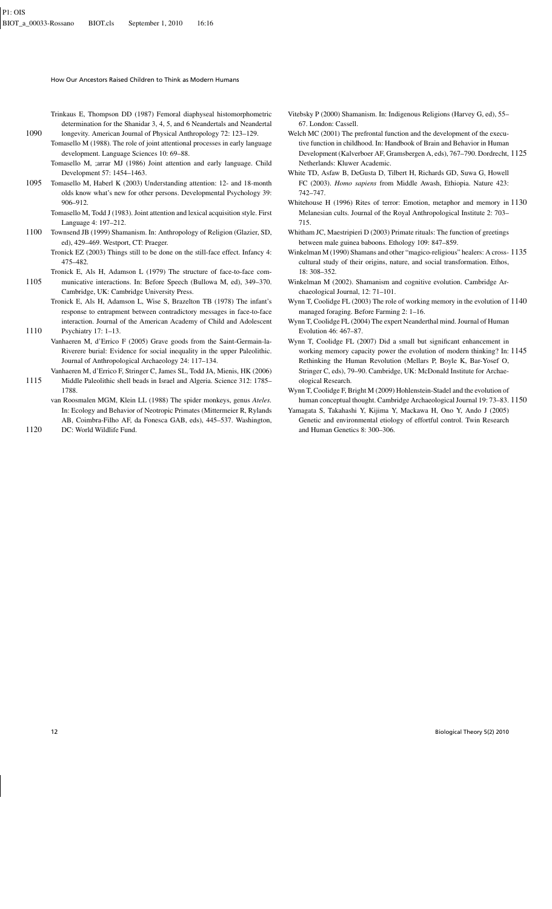- Trinkaus E, Thompson DD (1987) Femoral diaphyseal histomorphometric determination for the Shanidar 3, 4, 5, and 6 Neandertals and Neandertal 1090 longevity. American Journal of Physical Anthropology 72: 123–129.
	- Tomasello M (1988). The role of joint attentional processes in early language development. Language Sciences 10: 69–88.
		- Tomasello M, ;arrar MJ (1986) Joint attention and early language. Child Development 57: 1454–1463.
- 1095 Tomasello M, Haberl K (2003) Understanding attention: 12- and 18-month olds know what's new for other persons. Developmental Psychology 39: 906–912.
	- Tomasello M, Todd J (1983). Joint attention and lexical acquisition style. First Language 4: 197–212.
- 1100 Townsend JB (1999) Shamanism. In: Anthropology of Religion (Glazier, SD, ed), 429–469. Westport, CT: Praeger.
	- Tronick EZ (2003) Things still to be done on the still-face effect. Infancy 4: 475–482.
- Tronick E, Als H, Adamson L (1979) The structure of face-to-face com-1105 municative interactions. In: Before Speech (Bullowa M, ed), 349–370. Cambridge, UK: Cambridge University Press.
- Tronick E, Als H, Adamson L, Wise S, Brazelton TB (1978) The infant's response to entrapment between contradictory messages in face-to-face interaction. Journal of the American Academy of Child and Adolescent 1110 Psychiatry 17: 1–13.
	- Vanhaeren M, d'Errico F (2005) Grave goods from the Saint-Germain-la-Riverere burial: Evidence for social inequality in the upper Paleolithic. Journal of Anthropological Archaeology 24: 117–134.
- Vanhaeren M, d'Errico F, Stringer C, James SL, Todd JA, Mienis, HK (2006) 1115 Middle Paleolithic shell beads in Israel and Algeria. Science 312: 1785– 1788.
	- van Roosmalen MGM, Klein LL (1988) The spider monkeys, genus *Ateles.* In: Ecology and Behavior of Neotropic Primates (Mittermeier R, Rylands AB, Coimbra-Filho AF, da Fonesca GAB, eds), 445–537. Washington,
- 1120 DC: World Wildlife Fund.
- Vitebsky P (2000) Shamanism. In: Indigenous Religions (Harvey G, ed), 55– 67. London: Cassell.
- Welch MC (2001) The prefrontal function and the development of the executive function in childhood. In: Handbook of Brain and Behavior in Human Development (Kalverboer AF, Gramsbergen A, eds), 767–790. Dordrecht, 1125 Netherlands: Kluwer Academic.
- White TD, Asfaw B, DeGusta D, Tilbert H, Richards GD, Suwa G, Howell FC (2003). *Homo sapiens* from Middle Awash, Ethiopia. Nature 423: 742–747.
- Whitehouse H (1996) Rites of terror: Emotion, metaphor and memory in 1130 Melanesian cults. Journal of the Royal Anthropological Institute 2: 703– 715.
- Whitham JC, Maestripieri D (2003) Primate rituals: The function of greetings between male guinea baboons. Ethology 109: 847–859.
- Winkelman M (1990) Shamans and other "magico-religious" healers: A cross- 1135 cultural study of their origins, nature, and social transformation. Ethos, 18: 308–352.
- Winkelman M (2002). Shamanism and cognitive evolution. Cambridge Archaeological Journal, 12: 71–101.
- Wynn T, Coolidge FL (2003) The role of working memory in the evolution of 1140 managed foraging. Before Farming 2: 1–16.
- Wynn T, Coolidge FL (2004) The expert Neanderthal mind. Journal of Human Evolution 46: 467–87.
- Wynn T, Coolidge FL (2007) Did a small but significant enhancement in working memory capacity power the evolution of modern thinking? In: 1145 Rethinking the Human Revolution (Mellars P, Boyle K, Bar-Yosef O, Stringer C, eds), 79–90. Cambridge, UK: McDonald Institute for Archaeological Research.
- Wynn T, Coolidge F, Bright M (2009) Hohlenstein-Stadel and the evolution of human conceptual thought. Cambridge Archaeological Journal 19: 73–83. 1150
- Yamagata S, Takahashi Y, Kijima Y, Mackawa H, Ono Y, Ando J (2005) Genetic and environmental etiology of effortful control. Twin Research and Human Genetics 8: 300–306.